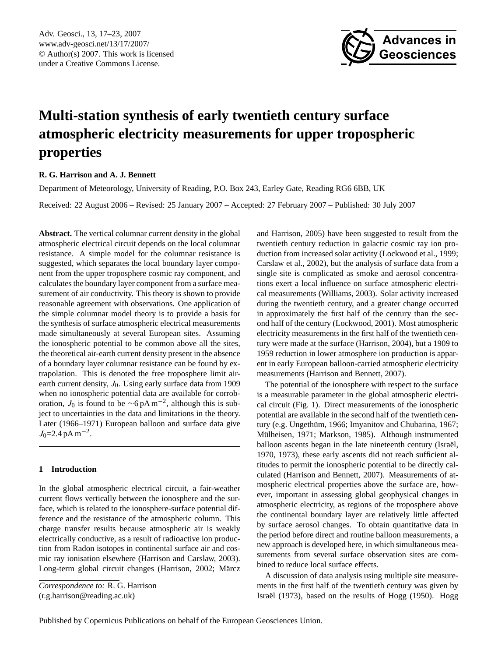<span id="page-0-0"></span>Adv. Geosci., 13, 17–23, 2007 www.adv-geosci.net/13/17/2007/ © Author(s) 2007. This work is licensed under a Creative Commons License.



# **Multi-station synthesis of early twentieth century surface atmospheric electricity measurements for upper tropospheric properties**

# **R. G. Harrison and A. J. Bennett**

Department of Meteorology, University of Reading, P.O. Box 243, Earley Gate, Reading RG6 6BB, UK

Received: 22 August 2006 – Revised: 25 January 2007 – Accepted: 27 February 2007 – Published: 30 July 2007

**Abstract.** The vertical columnar current density in the global atmospheric electrical circuit depends on the local columnar resistance. A simple model for the columnar resistance is suggested, which separates the local boundary layer component from the upper troposphere cosmic ray component, and calculates the boundary layer component from a surface measurement of air conductivity. This theory is shown to provide reasonable agreement with observations. One application of the simple columnar model theory is to provide a basis for the synthesis of surface atmospheric electrical measurements made simultaneously at several European sites. Assuming the ionospheric potential to be common above all the sites, the theoretical air-earth current density present in the absence of a boundary layer columnar resistance can be found by extrapolation. This is denoted the free troposphere limit airearth current density,  $J_0$ . Using early surface data from 1909 when no ionospheric potential data are available for corroboration,  $J_0$  is found to be  $\sim$ 6 pA m<sup>-2</sup>, although this is subject to uncertainties in the data and limitations in the theory. Later (1966–1971) European balloon and surface data give  $J_0$ =2.4 pA m<sup>-2</sup>.

## **1 Introduction**

In the global atmospheric electrical circuit, a fair-weather current flows vertically between the ionosphere and the surface, which is related to the ionosphere-surface potential difference and the resistance of the atmospheric column. This charge transfer results because atmospheric air is weakly electrically conductive, as a result of radioactive ion production from Radon isotopes in continental surface air and cosmic ray ionisation elsewhere (Harrison and Carslaw, 2003). Long-term global circuit changes (Harrison, 2002; Märcz and Harrison, 2005) have been suggested to result from the twentieth century reduction in galactic cosmic ray ion production from increased solar activity (Lockwood et al., 1999; Carslaw et al., 2002), but the analysis of surface data from a single site is complicated as smoke and aerosol concentrations exert a local influence on surface atmospheric electrical measurements (Williams, 2003). Solar activity increased during the twentieth century, and a greater change occurred in approximately the first half of the century than the second half of the century (Lockwood, 2001). Most atmospheric electricity measurements in the first half of the twentieth century were made at the surface (Harrison, 2004), but a 1909 to 1959 reduction in lower atmosphere ion production is apparent in early European balloon-carried atmospheric electricity measurements (Harrison and Bennett, 2007).

The potential of the ionosphere with respect to the surface is a measurable parameter in the global atmospheric electrical circuit (Fig. 1). Direct measurements of the ionospheric potential are available in the second half of the twentieth century (e.g. Ungethüm, 1966; Imyanitov and Chubarina, 1967; Mülheisen, 1971; Markson, 1985). Although instrumented balloon ascents began in the late nineteenth century (Israël, 1970, 1973), these early ascents did not reach sufficient altitudes to permit the ionospheric potential to be directly calculated (Harrison and Bennett, 2007). Measurements of atmospheric electrical properties above the surface are, however, important in assessing global geophysical changes in atmospheric electricity, as regions of the troposphere above the continental boundary layer are relatively little affected by surface aerosol changes. To obtain quantitative data in the period before direct and routine balloon measurements, a new approach is developed here, in which simultaneous measurements from several surface observation sites are combined to reduce local surface effects.

A discussion of data analysis using multiple site measurements in the first half of the twentieth century was given by Israël (1973), based on the results of Hogg (1950). Hogg

*Correspondence to:* R. G. Harrison

<sup>(</sup>r.g.harrison@reading.ac.uk)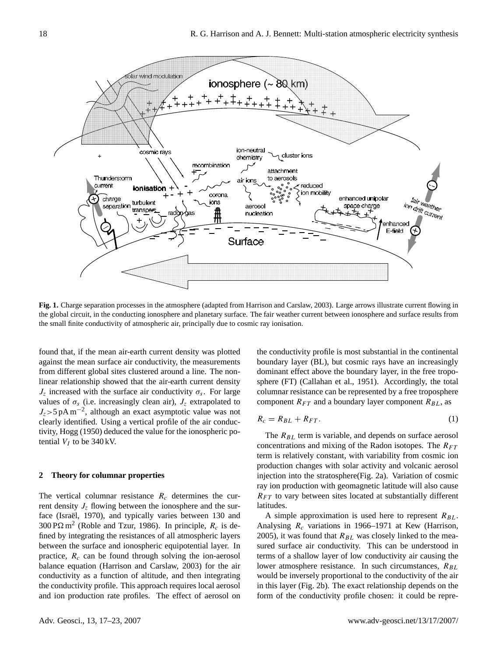

**Fig. 1.** Charge separation processes in the atmosphere (adapted from Harrison and Carslaw, 2003). Large arrows illustrate current flowing in the global circuit, in the conducting ionosphere and planetary surface. The fair weather current between ionosphere and surface results from the small finite conductivity of atmospheric air, principally due to cosmic ray ionisation.

found that, if the mean air-earth current density was plotted against the mean surface air conductivity, the measurements from different global sites clustered around a line. The nonlinear relationship showed that the air-earth current density  $J_z$  increased with the surface air conductivity  $\sigma_s$ . For large values of  $\sigma_s$  (i.e. increasingly clean air),  $J_z$  extrapolated to  $J_z$ >5 pA m<sup>-2</sup>, although an exact asymptotic value was not clearly identified. Using a vertical profile of the air conductivity, Hogg (1950) deduced the value for the ionospheric potential  $V_I$  to be 340 kV.

## **2 Theory for columnar properties**

The vertical columnar resistance  $R_c$  determines the current density  $J_z$  flowing between the ionosphere and the surface (Israël, 1970), and typically varies between 130 and 300 P $\Omega$  m<sup>2</sup> (Roble and Tzur, 1986). In principle,  $R_c$  is defined by integrating the resistances of all atmospheric layers between the surface and ionospheric equipotential layer. In practice,  $R_c$  can be found through solving the ion-aerosol balance equation (Harrison and Carslaw, 2003) for the air conductivity as a function of altitude, and then integrating the conductivity profile. This approach requires local aerosol and ion production rate profiles. The effect of aerosol on

the conductivity profile is most substantial in the continental boundary layer (BL), but cosmic rays have an increasingly dominant effect above the boundary layer, in the free troposphere (FT) (Callahan et al., 1951). Accordingly, the total columnar resistance can be represented by a free troposphere component  $R_{FT}$  and a boundary layer component  $R_{BL}$ , as

$$
R_c = R_{BL} + R_{FT}.\tag{1}
$$

The  $R_{BL}$  term is variable, and depends on surface aerosol concentrations and mixing of the Radon isotopes. The  $R_{FT}$ term is relatively constant, with variability from cosmic ion production changes with solar activity and volcanic aerosol injection into the stratosphere(Fig. 2a). Variation of cosmic ray ion production with geomagnetic latitude will also cause  $R_{FT}$  to vary between sites located at substantially different latitudes.

A simple approximation is used here to represent  $R_{BL}$ . Analysing  $R_c$  variations in 1966–1971 at Kew (Harrison, 2005), it was found that  $R_{BL}$  was closely linked to the measured surface air conductivity. This can be understood in terms of a shallow layer of low conductivity air causing the lower atmosphere resistance. In such circumstances,  $R_{BL}$ would be inversely proportional to the conductivity of the air in this layer (Fig. 2b). The exact relationship depends on the form of the conductivity profile chosen: it could be repre-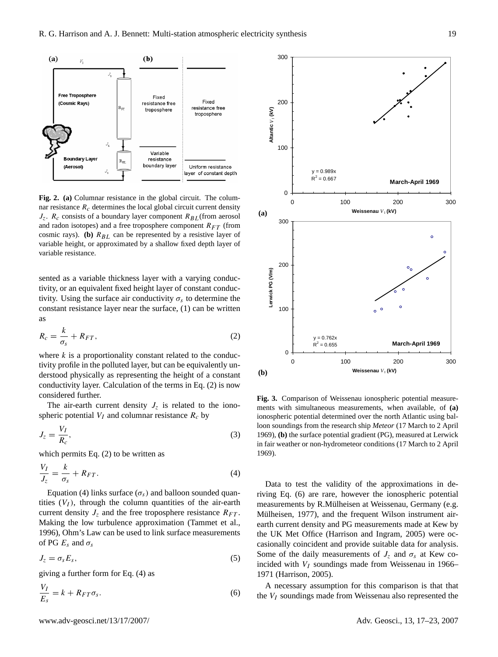

**Fig. 2. (a)** Columnar resistance in the global circuit. The columnar resistance  $R_c$  determines the local global circuit current density  $J_z$ .  $R_c$  consists of a boundary layer component  $R_{BL}$  (from aerosol and radon isotopes) and a free troposphere component  $R_{FT}$  (from cosmic rays). **(b)**  $R_{BL}$  can be represented by a resistive layer of variable height, or approximated by a shallow fixed depth layer of variable resistance.

sented as a variable thickness layer with a varying conductivity, or an equivalent fixed height layer of constant conductivity. Using the surface air conductivity  $\sigma_s$  to determine the constant resistance layer near the surface, (1) can be written as

$$
R_c = \frac{k}{\sigma_s} + R_{FT},\tag{2}
$$

where  $k$  is a proportionality constant related to the conductivity profile in the polluted layer, but can be equivalently understood physically as representing the height of a constant conductivity layer. Calculation of the terms in Eq. (2) is now considered further.

The air-earth current density  $J_z$  is related to the ionospheric potential  $V_I$  and columnar resistance  $R_c$  by

$$
J_z = \frac{V_I}{R_c},\tag{3}
$$

which permits Eq. (2) to be written as

$$
\frac{V_I}{J_z} = \frac{k}{\sigma_s} + R_{FT}.
$$
\n(4)

Equation (4) links surface ( $\sigma_s$ ) and balloon sounded quantities  $(V_I)$ , through the column quantities of the air-earth current density  $J_z$  and the free troposphere resistance  $R_{FT}$ . Making the low turbulence approximation (Tammet et al., 1996), Ohm's Law can be used to link surface measurements of PG  $E_s$  and  $\sigma_s$ 

$$
J_z = \sigma_s E_s,\tag{5}
$$

giving a further form for Eq. (4) as

$$
\frac{V_I}{E_s} = k + R_{FT}\sigma_s. \tag{6}
$$



**Fig. 3.** Comparison of Weissenau ionospheric potential measurements with simultaneous measurements, when available, of **(a)** ionospheric potential determined over the north Atlantic using balloon soundings from the research ship *Meteor* (17 March to 2 April 1969), **(b)** the surface potential gradient (PG), measured at Lerwick in fair weather or non-hydrometeor conditions (17 March to 2 April 1969).

**(b)**

**200** 

0 100 200 300 **Weissenau**  $V_1$  (kV)

Data to test the validity of the approximations in deriving Eq. (6) are rare, however the ionospheric potential measurements by R.Mülheisen at Weissenau, Germany (e.g. Mülheisen, 1977), and the frequent Wilson instrument airearth current density and PG measurements made at Kew by the UK Met Office (Harrison and Ingram, 2005) were occasionally coincident and provide suitable data for analysis. Some of the daily measurements of  $J_z$  and  $\sigma_s$  at Kew coincided with  $V_I$  soundings made from Weissenau in 1966– 1971 (Harrison, 2005).

A necessary assumption for this comparison is that that the  $V_I$  soundings made from Weissenau also represented the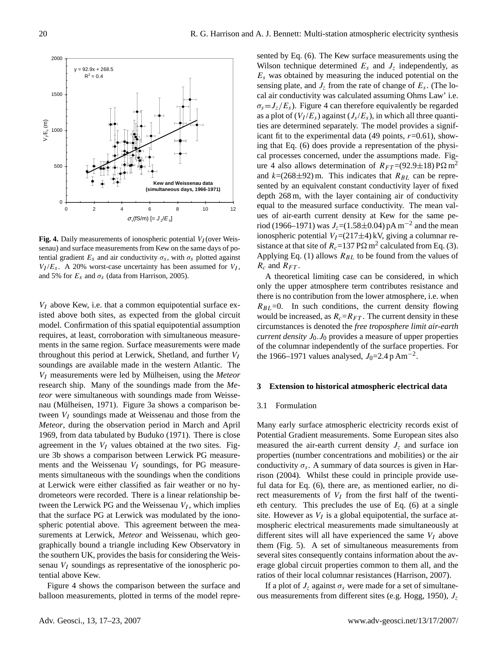

**Fig. 4.** Daily measurements of ionospheric potential  $V_I$  (over Weissenau) and surface measurements from Kew on the same days of potential gradient  $E_s$  and air conductivity  $\sigma_s$ , with  $\sigma_s$  plotted against  $V_I/E_s$ . A 20% worst-case uncertainty has been assumed for  $V_I$ , and 5% for  $E_s$  and  $\sigma_s$  (data from Harrison, 2005).

 $V_I$  above Kew, i.e. that a common equipotential surface existed above both sites, as expected from the global circuit model. Confirmation of this spatial equipotential assumption requires, at least, corroboration with simultaneous measurements in the same region. Surface measurements were made throughout this period at Lerwick, Shetland, and further  $V_I$ soundings are available made in the western Atlantic. The  $V_I$  measurements were led by Mülheisen, using the *Meteor* research ship. Many of the soundings made from the *Meteor* were simultaneous with soundings made from Weissenau (Mülheisen, 1971). Figure 3a shows a comparison between  $V_I$  soundings made at Weissenau and those from the *Meteor*, during the observation period in March and April 1969, from data tabulated by Buduko (1971). There is close agreement in the  $V_I$  values obtained at the two sites. Figure 3b shows a comparison between Lerwick PG measurements and the Weissenau  $V_I$  soundings, for PG measurements simultaneous with the soundings when the conditions at Lerwick were either classified as fair weather or no hydrometeors were recorded. There is a linear relationship between the Lerwick PG and the Weissenau  $V_I$ , which implies that the surface PG at Lerwick was modulated by the ionospheric potential above. This agreement between the measurements at Lerwick, *Meteor* and Weissenau, which geographically bound a triangle including Kew Observatory in the southern UK, provides the basis for considering the Weissenau  $V_I$  soundings as representative of the ionospheric potential above Kew.

Figure 4 shows the comparison between the surface and balloon measurements, plotted in terms of the model repre-

sented by Eq. (6). The Kew surface measurements using the Wilson technique determined  $E_s$  and  $J_z$  independently, as  $E<sub>s</sub>$  was obtained by measuring the induced potential on the sensing plate, and  $J_z$  from the rate of change of  $E_s$ . (The local air conductivity was calculated assuming Ohms Law' i.e.  $\sigma_s = J_z/E_s$ ). Figure 4 can therefore equivalently be regarded as a plot of  $(V_I/E_s)$  against  $(J_s/E_s)$ , in which all three quantities are determined separately. The model provides a significant fit to the experimental data (49 points,  $r=0.61$ ), showing that Eq. (6) does provide a representation of the physical processes concerned, under the assumptions made. Figure 4 also allows determination of  $R_{FT} = (92.9 \pm 18)$  P $\Omega$  m<sup>2</sup> and  $k=(268\pm92)$  m. This indicates that  $R_{BL}$  can be represented by an equivalent constant conductivity layer of fixed depth 268 m, with the layer containing air of conductivity equal to the measured surface conductivity. The mean values of air-earth current density at Kew for the same period (1966–1971) was  $J_z = (1.58 \pm 0.04)$  pA m<sup>-2</sup> and the mean ionospheric potential  $V_I = (217 \pm 4)$  kV, giving a columnar resistance at that site of  $R_c = 137 \text{ P}\Omega \text{ m}^2$  calculated from Eq. (3). Applying Eq. (1) allows  $R_{BL}$  to be found from the values of  $R_c$  and  $R_{FT}$ .

A theoretical limiting case can be considered, in which only the upper atmosphere term contributes resistance and there is no contribution from the lower atmosphere, i.e. when  $R_{BL}$ =0. In such conditions, the current density flowing would be increased, as  $R_c=R_{FT}$ . The current density in these circumstances is denoted the *free troposphere limit air-earth current density*  $J_0$ .  $J_0$  provides a measure of upper properties of the columnar independently of the surface properties. For the 1966–1971 values analysed,  $J_0$ =2.4 p Am<sup>-2</sup>.

## **3 Extension to historical atmospheric electrical data**

#### 3.1 Formulation

Many early surface atmospheric electricity records exist of Potential Gradient measurements. Some European sites also measured the air-earth current density  $J_z$  and surface ion properties (number concentrations and mobilities) or the air conductivity  $\sigma_s$ . A summary of data sources is given in Harrison (2004). Whilst these could in principle provide useful data for Eq. (6), there are, as mentioned earlier, no direct measurements of  $V_I$  from the first half of the twentieth century. This precludes the use of Eq. (6) at a single site. However as  $V_I$  is a global equipotential, the surface atmospheric electrical measurements made simultaneously at different sites will all have experienced the same  $V_I$  above them (Fig. 5). A set of simultaneous measurements from several sites consequently contains information about the average global circuit properties common to them all, and the ratios of their local columnar resistances (Harrison, 2007).

If a plot of  $J_z$  against  $\sigma_s$  were made for a set of simultaneous measurements from different sites (e.g. Hogg, 1950),  $J_z$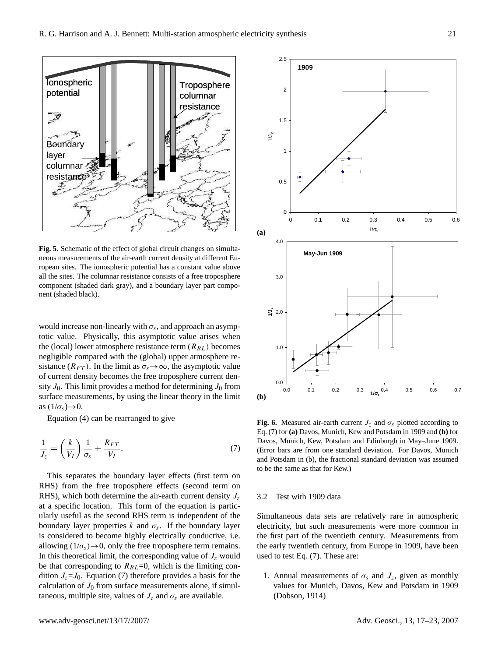

Fig. 5. Schematic of the effect of global circuit changes on simultaneous measurements of the air-earth current density at different European sites. The ionospheric potential has a constant value above all the sites. The columnar resistance consists of a free troposphere component (shaded dark gray), and a boundary layer part component (shaded black).

would increase non-linearly with  $\sigma_s$ , and approach an asymptotic value. Physically, this asymptotic value arises when the (local) lower atmosphere resistance term  $(R_{BL})$  becomes negligible compared with the (global) upper atmosphere resistance ( $R_{FT}$ ). In the limit as  $\sigma_s \rightarrow \infty$ , the asymptotic value of current density becomes the free troposphere current density  $J_0$ . This limit provides a method for determining  $J_0$  from surface measurements, by using the linear theory in the limit as  $(1/\sigma_s) \rightarrow 0$ .

Equation (4) can be rearranged to give

$$
\frac{1}{J_z} = \left(\frac{k}{V_I}\right)\frac{1}{\sigma_s} + \frac{R_{FT}}{V_I}.\tag{7}
$$

This separates the boundary layer effects (first term on RHS) from the free troposphere effects (second term on RHS), which both determine the air-earth current density  $J_z$ at a specific location. This form of the equation is particularly useful as the second RHS term is independent of the boundary layer properties  $k$  and  $\sigma_s$ . If the boundary layer is considered to become highly electrically conductive, i.e. allowing  $(1/\sigma_s) \rightarrow 0$ , only the free troposphere term remains. In this theoretical limit, the corresponding value of  $J_z$  would be that corresponding to  $R_{BL}$ =0, which is the limiting condition  $J_z = J_0$ . Equation (7) therefore provides a basis for the calculation of  $J_0$  from surface measurements alone, if simultaneous, multiple site, values of  $J_z$  and  $\sigma_s$  are available.



Fig. 6. Measured air-earth current  $J_z$  and  $\sigma_s$  plotted according to Eq. (7) for **(a)** Davos, Munich, Kew and Potsdam in 1909 and **(b)** for Davos, Munich, Kew, Potsdam and Edinburgh in May–June 1909. (Error bars are from one standard deviation. For Davos, Munich and Potsdam in (b), the fractional standard deviation was assumed to be the same as that for Kew.)

### 3.2 Test with 1909 data

Simultaneous data sets are relatively rare in atmospheric electricity, but such measurements were more common in the first part of the twentieth century. Measurements from the early twentieth century, from Europe in 1909, have been used to test Eq. (7). These are:

1. Annual measurements of  $\sigma_s$  and  $J_z$ , given as monthly values for Munich, Davos, Kew and Potsdam in 1909 (Dobson, 1914)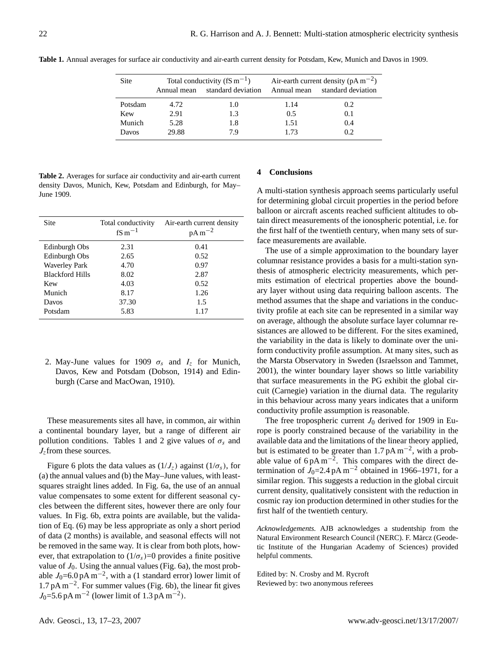| Site    | Annual mean | Total conductivity ( $fS \, \text{m}^{-1}$ )<br>standard deviation |      | Air-earth current density ( $pAm^{-2}$ )<br>Annual mean standard deviation |
|---------|-------------|--------------------------------------------------------------------|------|----------------------------------------------------------------------------|
| Potsdam | 4.72        | 1.0                                                                | 1.14 | 0.2                                                                        |
| Kew     | 2.91        | 1.3                                                                | 0.5  | 0.1                                                                        |
| Munich  | 5.28        | 1.8                                                                | 1.51 | 0.4                                                                        |
| Davos   | 29.88       | 79                                                                 | 1.73 | 0.2                                                                        |

**Table 1.** Annual averages for surface air conductivity and air-earth current density for Potsdam, Kew, Munich and Davos in 1909.

**Table 2.** Averages for surface air conductivity and air-earth current density Davos, Munich, Kew, Potsdam and Edinburgh, for May– June 1909.

| <b>Site</b>            | Total conductivity<br>$fS m^{-1}$ | Air-earth current density<br>$pA m^{-2}$ |
|------------------------|-----------------------------------|------------------------------------------|
| Edinburgh Obs          | 2.31                              | 0.41                                     |
| Edinburgh Obs          | 2.65                              | 0.52                                     |
| <b>Waverley Park</b>   | 4.70                              | 0.97                                     |
| <b>Blackford Hills</b> | 8.02                              | 2.87                                     |
| Kew                    | 4.03                              | 0.52                                     |
| Munich                 | 8.17                              | 1.26                                     |
| Davos                  | 37.30                             | 1.5                                      |
| Potsdam                | 5.83                              | 1.17                                     |

2. May-June values for 1909  $\sigma_s$  and  $I_z$  for Munich, Davos, Kew and Potsdam (Dobson, 1914) and Edinburgh (Carse and MacOwan, 1910).

These measurements sites all have, in common, air within a continental boundary layer, but a range of different air pollution conditions. Tables 1 and 2 give values of  $\sigma_s$  and  $J_z$  from these sources.

Figure 6 plots the data values as  $(1/J_z)$  against  $(1/\sigma_s)$ , for (a) the annual values and (b) the May–June values, with leastsquares straight lines added. In Fig. 6a, the use of an annual value compensates to some extent for different seasonal cycles between the different sites, however there are only four values. In Fig. 6b, extra points are available, but the validation of Eq. (6) may be less appropriate as only a short period of data (2 months) is available, and seasonal effects will not be removed in the same way. It is clear from both plots, however, that extrapolation to  $(1/\sigma_s)=0$  provides a finite positive value of  $J_0$ . Using the annual values (Fig. 6a), the most probable  $J_0$ =6.0 pA m<sup>-2</sup>, with a (1 standard error) lower limit of 1.7 pA m−<sup>2</sup> . For summer values (Fig. 6b), the linear fit gives  $J_0$ =5.6 pA m<sup>-2</sup> (lower limit of 1.3 pA m<sup>-2</sup>).

#### **4 Conclusions**

A multi-station synthesis approach seems particularly useful for determining global circuit properties in the period before balloon or aircraft ascents reached sufficient altitudes to obtain direct measurements of the ionospheric potential, i.e. for the first half of the twentieth century, when many sets of surface measurements are available.

The use of a simple approximation to the boundary layer columnar resistance provides a basis for a multi-station synthesis of atmospheric electricity measurements, which permits estimation of electrical properties above the boundary layer without using data requiring balloon ascents. The method assumes that the shape and variations in the conductivity profile at each site can be represented in a similar way on average, although the absolute surface layer columnar resistances are allowed to be different. For the sites examined, the variability in the data is likely to dominate over the uniform conductivity profile assumption. At many sites, such as the Marsta Observatory in Sweden (Israelsson and Tammet, 2001), the winter boundary layer shows so little variability that surface measurements in the PG exhibit the global circuit (Carnegie) variation in the diurnal data. The regularity in this behaviour across many years indicates that a uniform conductivity profile assumption is reasonable.

The free tropospheric current  $J_0$  derived for 1909 in Europe is poorly constrained because of the variability in the available data and the limitations of the linear theory applied, but is estimated to be greater than  $1.7 \text{ pA m}^{-2}$ , with a probable value of  $6pA m^{-2}$ . This compares with the direct determination of  $J_0$ =2.4 pA m<sup>-2</sup> obtained in 1966–1971, for a similar region. This suggests a reduction in the global circuit current density, qualitatively consistent with the reduction in cosmic ray ion production determined in other studies for the first half of the twentieth century.

*Acknowledgements.* AJB acknowledges a studentship from the Natural Environment Research Council (NERC). F. Märcz (Geodetic Institute of the Hungarian Academy of Sciences) provided helpful comments.

Edited by: N. Crosby and M. Rycroft Reviewed by: two anonymous referees